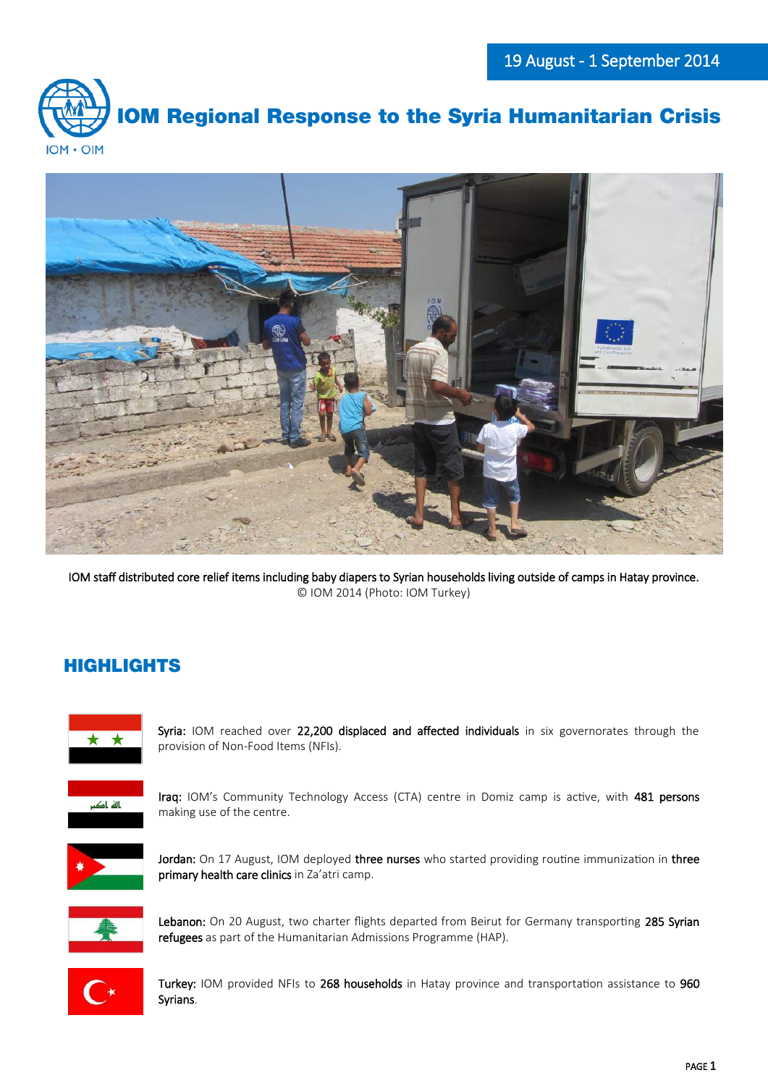



IOM staff distributed core relief items including baby diapers to Syrian households living outside of camps in Hatay province. © IOM 2014 (Photo: IOM Turkey)

# HIGHLIGHTS



Syria: IOM reached over 22,200 displaced and affected individuals in six governorates through the provision of Non-Food Items (NFIs).



Iraq: IOM's Community Technology Access (CTA) centre in Domiz camp is active, with 481 persons making use of the centre.



Jordan: On 17 August, IOM deployed three nurses who started providing routine immunization in three primary health care clinics in Za'atri camp.



Lebanon: On 20 August, two charter flights departed from Beirut for Germany transporting 285 Syrian refugees as part of the Humanitarian Admissions Programme (HAP).



Turkey: IOM provided NFIs to 268 households in Hatay province and transportation assistance to 960 Syrians.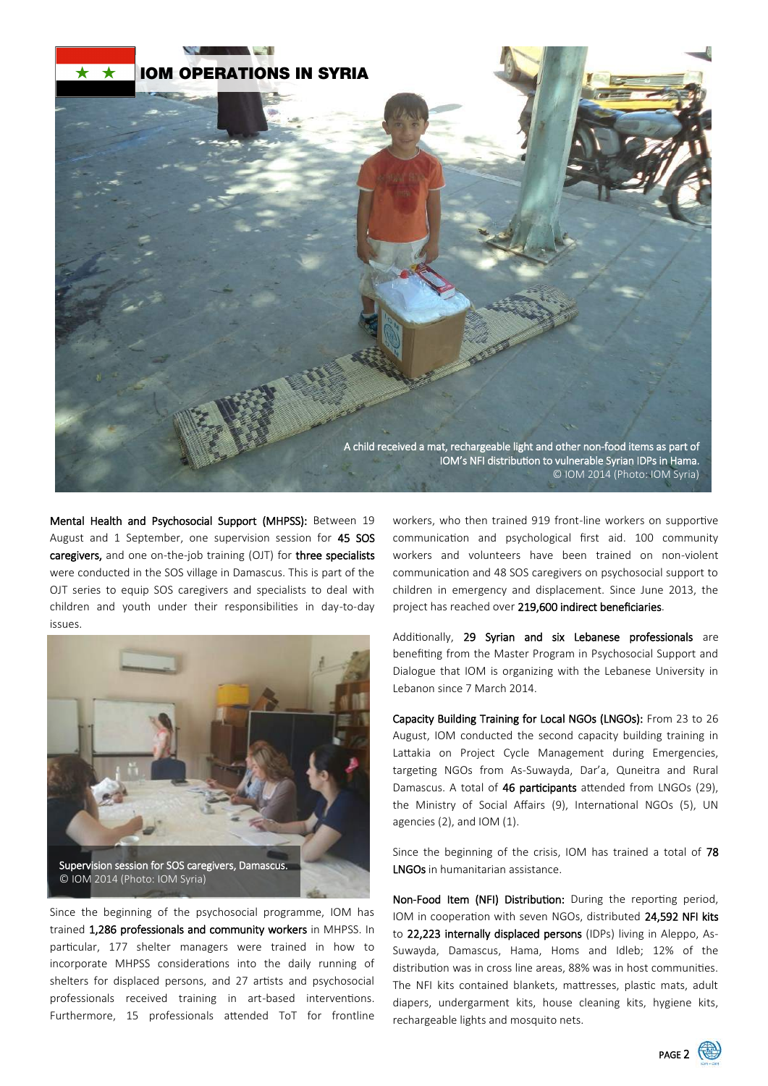

Mental Health and Psychosocial Support (MHPSS): Between 19 August and 1 September, one supervision session for 45 SOS caregivers, and one on-the-job training (OJT) for three specialists were conducted in the SOS village in Damascus. This is part of the OJT series to equip SOS caregivers and specialists to deal with children and youth under their responsibilities in day-to-day issues.



Since the beginning of the psychosocial programme, IOM has trained 1,286 professionals and community workers in MHPSS. In particular, 177 shelter managers were trained in how to incorporate MHPSS considerations into the daily running of shelters for displaced persons, and 27 artists and psychosocial professionals received training in art-based interventions. Furthermore, 15 professionals attended ToT for frontline

workers, who then trained 919 front-line workers on supportive communication and psychological first aid. 100 community workers and volunteers have been trained on non-violent communication and 48 SOS caregivers on psychosocial support to children in emergency and displacement. Since June 2013, the project has reached over 219,600 indirect beneficiaries.

Additionally, 29 Syrian and six Lebanese professionals are benefiting from the Master Program in Psychosocial Support and Dialogue that IOM is organizing with the Lebanese University in Lebanon since 7 March 2014.

Capacity Building Training for Local NGOs (LNGOs): From 23 to 26 August, IOM conducted the second capacity building training in Lattakia on Project Cycle Management during Emergencies, targeting NGOs from As-Suwayda, Dar'a, Quneitra and Rural Damascus. A total of 46 participants attended from LNGOs (29), the Ministry of Social Affairs (9), International NGOs (5), UN agencies (2), and IOM (1).

Since the beginning of the crisis, IOM has trained a total of 78 LNGOs in humanitarian assistance.

Non-Food Item (NFI) Distribution: During the reporting period, IOM in cooperation with seven NGOs, distributed 24,592 NFI kits to 22,223 internally displaced persons (IDPs) living in Aleppo, As-Suwayda, Damascus, Hama, Homs and Idleb; 12% of the distribution was in cross line areas, 88% was in host communities. The NFI kits contained blankets, mattresses, plastic mats, adult diapers, undergarment kits, house cleaning kits, hygiene kits, rechargeable lights and mosquito nets.

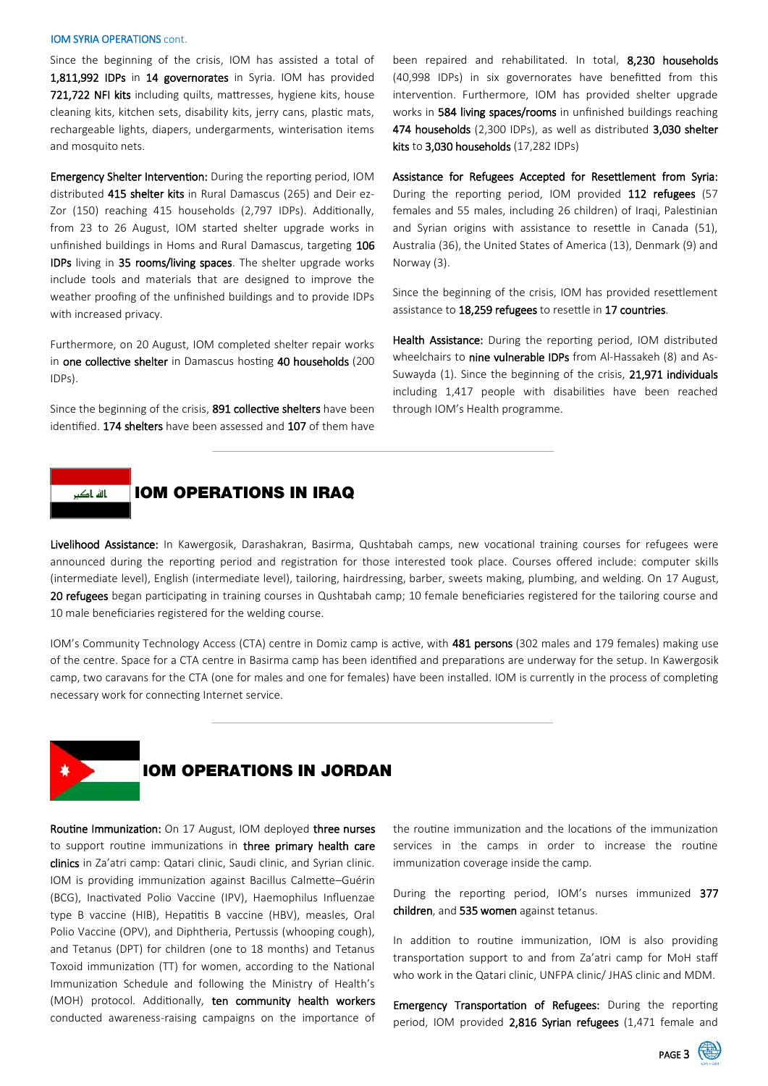#### IOM SYRIA OPERATIONS cont.

Since the beginning of the crisis, IOM has assisted a total of 1,811,992 IDPs in 14 governorates in Syria. IOM has provided 721,722 NFI kits including quilts, mattresses, hygiene kits, house cleaning kits, kitchen sets, disability kits, jerry cans, plastic mats, rechargeable lights, diapers, undergarments, winterisation items and mosquito nets.

Emergency Shelter Intervention: During the reporting period, IOM distributed 415 shelter kits in Rural Damascus (265) and Deir ez-Zor (150) reaching 415 households (2,797 IDPs). Additionally, from 23 to 26 August, IOM started shelter upgrade works in unfinished buildings in Homs and Rural Damascus, targeting 106 IDPs living in 35 rooms/living spaces. The shelter upgrade works include tools and materials that are designed to improve the weather proofing of the unfinished buildings and to provide IDPs with increased privacy.

Furthermore, on 20 August, IOM completed shelter repair works in one collective shelter in Damascus hosting 40 households (200 IDPs).

Since the beginning of the crisis, 891 collective shelters have been identified. 174 shelters have been assessed and 107 of them have been repaired and rehabilitated. In total, 8,230 households (40,998 IDPs) in six governorates have benefitted from this intervention. Furthermore, IOM has provided shelter upgrade works in 584 living spaces/rooms in unfinished buildings reaching 474 households (2,300 IDPs), as well as distributed 3,030 shelter kits to 3,030 households (17,282 IDPs)

Assistance for Refugees Accepted for Resettlement from Syria: During the reporting period, IOM provided 112 refugees (57 females and 55 males, including 26 children) of Iraqi, Palestinian and Syrian origins with assistance to resettle in Canada (51), Australia (36), the United States of America (13), Denmark (9) and Norway (3).

Since the beginning of the crisis, IOM has provided resettlement assistance to 18,259 refugees to resettle in 17 countries.

Health Assistance: During the reporting period, IOM distributed wheelchairs to nine vulnerable IDPs from Al-Hassakeh (8) and As-Suwayda (1). Since the beginning of the crisis, 21,971 individuals including 1,417 people with disabilities have been reached through IOM's Health programme.



## IOM OPERATIONS IN IRAQ

Livelihood Assistance: In Kawergosik, Darashakran, Basirma, Qushtabah camps, new vocational training courses for refugees were announced during the reporting period and registration for those interested took place. Courses offered include: computer skills (intermediate level), English (intermediate level), tailoring, hairdressing, barber, sweets making, plumbing, and welding. On 17 August, 20 refugees began participating in training courses in Qushtabah camp; 10 female beneficiaries registered for the tailoring course and 10 male beneficiaries registered for the welding course.

IOM's Community Technology Access (CTA) centre in Domiz camp is active, with 481 persons (302 males and 179 females) making use of the centre. Space for a CTA centre in Basirma camp has been identified and preparations are underway for the setup. In Kawergosik camp, two caravans for the CTA (one for males and one for females) have been installed. IOM is currently in the process of completing necessary work for connecting Internet service.



### IOM OPERATIONS IN JORDAN

Routine Immunization: On 17 August, IOM deployed three nurses to support routine immunizations in three primary health care clinics in Za'atri camp: Qatari clinic, Saudi clinic, and Syrian clinic. IOM is providing immunization against Bacillus Calmette–Guérin (BCG), Inactivated Polio Vaccine (IPV), Haemophilus Influenzae type B vaccine (HIB), Hepatitis B vaccine (HBV), measles, Oral Polio Vaccine (OPV), and Diphtheria, Pertussis (whooping cough), and Tetanus (DPT) for children (one to 18 months) and Tetanus Toxoid immunization (TT) for women, according to the National Immunization Schedule and following the Ministry of Health's (MOH) protocol. Additionally, ten community health workers conducted awareness-raising campaigns on the importance of the routine immunization and the locations of the immunization services in the camps in order to increase the routine immunization coverage inside the camp.

During the reporting period, IOM's nurses immunized 377 children, and 535 women against tetanus.

In addition to routine immunization, IOM is also providing transportation support to and from Za'atri camp for MoH staff who work in the Qatari clinic, UNFPA clinic/ JHAS clinic and MDM.

**Emergency Transportation of Refugees:** During the reporting period, IOM provided 2,816 Syrian refugees (1,471 female and

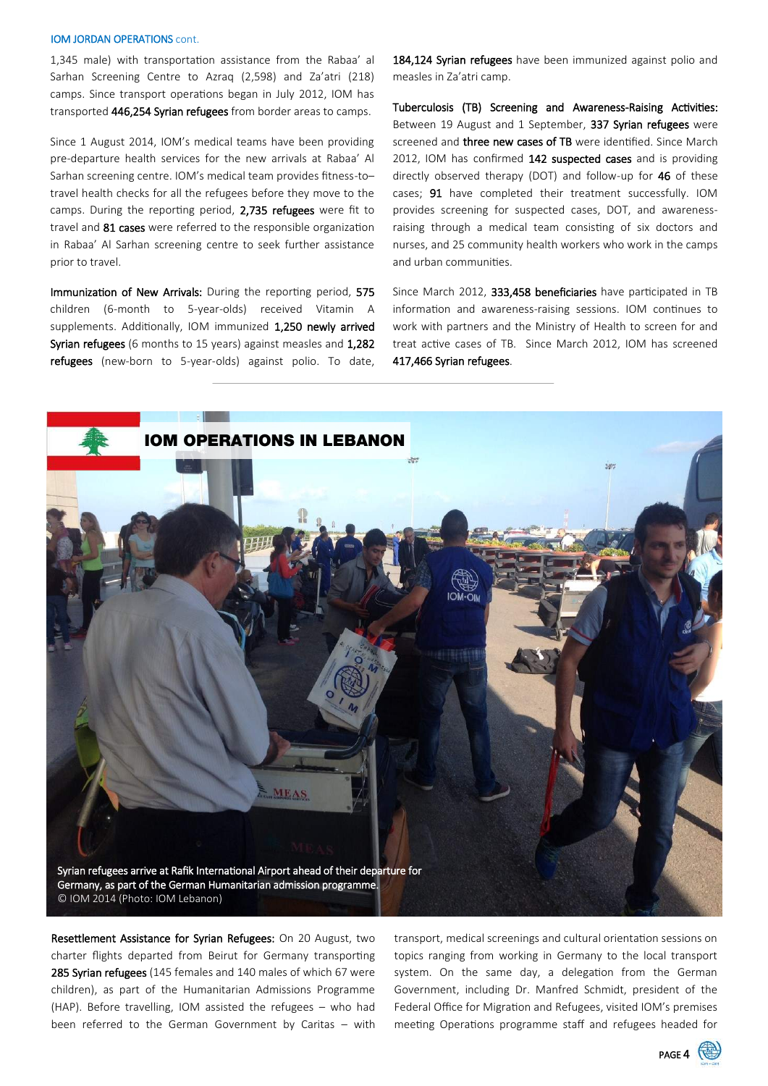#### IOM JORDAN OPERATIONS cont.

1,345 male) with transportation assistance from the Rabaa' al Sarhan Screening Centre to Azraq (2,598) and Za'atri (218) camps. Since transport operations began in July 2012, IOM has transported 446,254 Syrian refugees from border areas to camps.

Since 1 August 2014, IOM's medical teams have been providing pre-departure health services for the new arrivals at Rabaa' Al Sarhan screening centre. IOM's medical team provides fitness-to– travel health checks for all the refugees before they move to the camps. During the reporting period, 2,735 refugees were fit to travel and 81 cases were referred to the responsible organization in Rabaa' Al Sarhan screening centre to seek further assistance prior to travel.

Immunization of New Arrivals: During the reporting period, 575 children (6-month to 5-year-olds) received Vitamin A supplements. Additionally, IOM immunized 1,250 newly arrived Syrian refugees (6 months to 15 years) against measles and 1,282 refugees (new-born to 5-year-olds) against polio. To date, 184,124 Syrian refugees have been immunized against polio and measles in Za'atri camp.

Tuberculosis (TB) Screening and Awareness-Raising Activities: Between 19 August and 1 September, 337 Syrian refugees were screened and **three new cases of TB** were identified. Since March 2012, IOM has confirmed 142 suspected cases and is providing directly observed therapy (DOT) and follow-up for 46 of these cases; 91 have completed their treatment successfully. IOM provides screening for suspected cases, DOT, and awarenessraising through a medical team consisting of six doctors and nurses, and 25 community health workers who work in the camps and urban communities.

Since March 2012, 333,458 beneficiaries have participated in TB information and awareness-raising sessions. IOM continues to work with partners and the Ministry of Health to screen for and treat active cases of TB. Since March 2012, IOM has screened 417,466 Syrian refugees.



Resettlement Assistance for Syrian Refugees: On 20 August, two charter flights departed from Beirut for Germany transporting 285 Syrian refugees (145 females and 140 males of which 67 were children), as part of the Humanitarian Admissions Programme (HAP). Before travelling, IOM assisted the refugees – who had been referred to the German Government by Caritas – with

transport, medical screenings and cultural orientation sessions on topics ranging from working in Germany to the local transport system. On the same day, a delegation from the German Government, including Dr. Manfred Schmidt, president of the Federal Office for Migration and Refugees, visited IOM's premises meeting Operations programme staff and refugees headed for

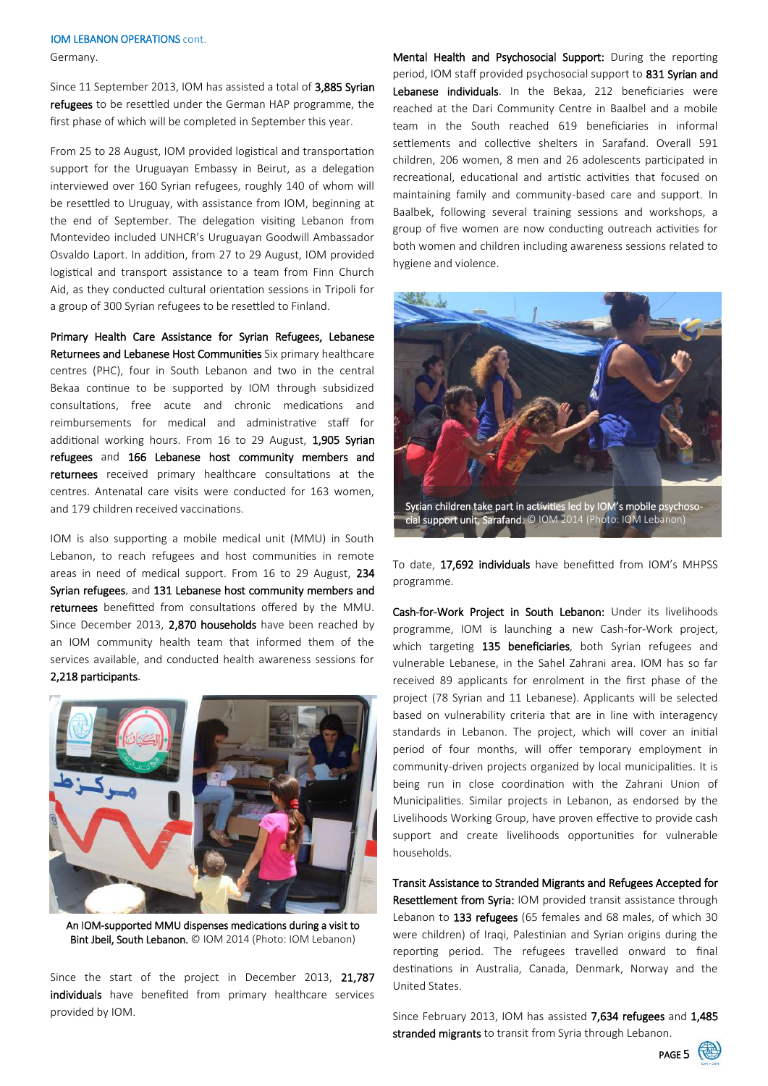#### IOM LEBANON OPERATIONS cont.

Germany.

Since 11 September 2013, IOM has assisted a total of 3,885 Syrian refugees to be resettled under the German HAP programme, the first phase of which will be completed in September this year.

From 25 to 28 August, IOM provided logistical and transportation support for the Uruguayan Embassy in Beirut, as a delegation interviewed over 160 Syrian refugees, roughly 140 of whom will be resettled to Uruguay, with assistance from IOM, beginning at the end of September. The delegation visiting Lebanon from Montevideo included UNHCR's Uruguayan Goodwill Ambassador Osvaldo Laport. In addition, from 27 to 29 August, IOM provided logistical and transport assistance to a team from Finn Church Aid, as they conducted cultural orientation sessions in Tripoli for a group of 300 Syrian refugees to be resettled to Finland.

Primary Health Care Assistance for Syrian Refugees, Lebanese Returnees and Lebanese Host Communities Six primary healthcare centres (PHC), four in South Lebanon and two in the central Bekaa continue to be supported by IOM through subsidized consultations, free acute and chronic medications and reimbursements for medical and administrative staff for additional working hours. From 16 to 29 August, 1,905 Syrian refugees and 166 Lebanese host community members and returnees received primary healthcare consultations at the centres. Antenatal care visits were conducted for 163 women, and 179 children received vaccinations.

IOM is also supporting a mobile medical unit (MMU) in South Lebanon, to reach refugees and host communities in remote areas in need of medical support. From 16 to 29 August, 234 Syrian refugees, and 131 Lebanese host community members and returnees benefitted from consultations offered by the MMU. Since December 2013, 2,870 households have been reached by an IOM community health team that informed them of the services available, and conducted health awareness sessions for 2,218 participants.



An IOM-supported MMU dispenses medications during a visit to Bint Jbeil, South Lebanon. © IOM 2014 (Photo: IOM Lebanon)

Since the start of the project in December 2013, 21,787 individuals have benefited from primary healthcare services provided by IOM.

Mental Health and Psychosocial Support: During the reporting period, IOM staff provided psychosocial support to 831 Syrian and Lebanese individuals. In the Bekaa, 212 beneficiaries were reached at the Dari Community Centre in Baalbel and a mobile team in the South reached 619 beneficiaries in informal settlements and collective shelters in Sarafand. Overall 591 children, 206 women, 8 men and 26 adolescents participated in recreational, educational and artistic activities that focused on maintaining family and community-based care and support. In Baalbek, following several training sessions and workshops, a group of five women are now conducting outreach activities for both women and children including awareness sessions related to hygiene and violence.



To date, 17,692 individuals have benefitted from IOM's MHPSS programme.

Cash-for-Work Project in South Lebanon: Under its livelihoods programme, IOM is launching a new Cash-for-Work project, which targeting 135 beneficiaries, both Syrian refugees and vulnerable Lebanese, in the Sahel Zahrani area. IOM has so far received 89 applicants for enrolment in the first phase of the project (78 Syrian and 11 Lebanese). Applicants will be selected based on vulnerability criteria that are in line with interagency standards in Lebanon. The project, which will cover an initial period of four months, will offer temporary employment in community-driven projects organized by local municipalities. It is being run in close coordination with the Zahrani Union of Municipalities. Similar projects in Lebanon, as endorsed by the Livelihoods Working Group, have proven effective to provide cash support and create livelihoods opportunities for vulnerable households.

Transit Assistance to Stranded Migrants and Refugees Accepted for Resettlement from Syria: IOM provided transit assistance through Lebanon to 133 refugees (65 females and 68 males, of which 30 were children) of Iraqi, Palestinian and Syrian origins during the reporting period. The refugees travelled onward to final destinations in Australia, Canada, Denmark, Norway and the United States.

Since February 2013, IOM has assisted 7,634 refugees and 1,485 stranded migrants to transit from Syria through Lebanon.

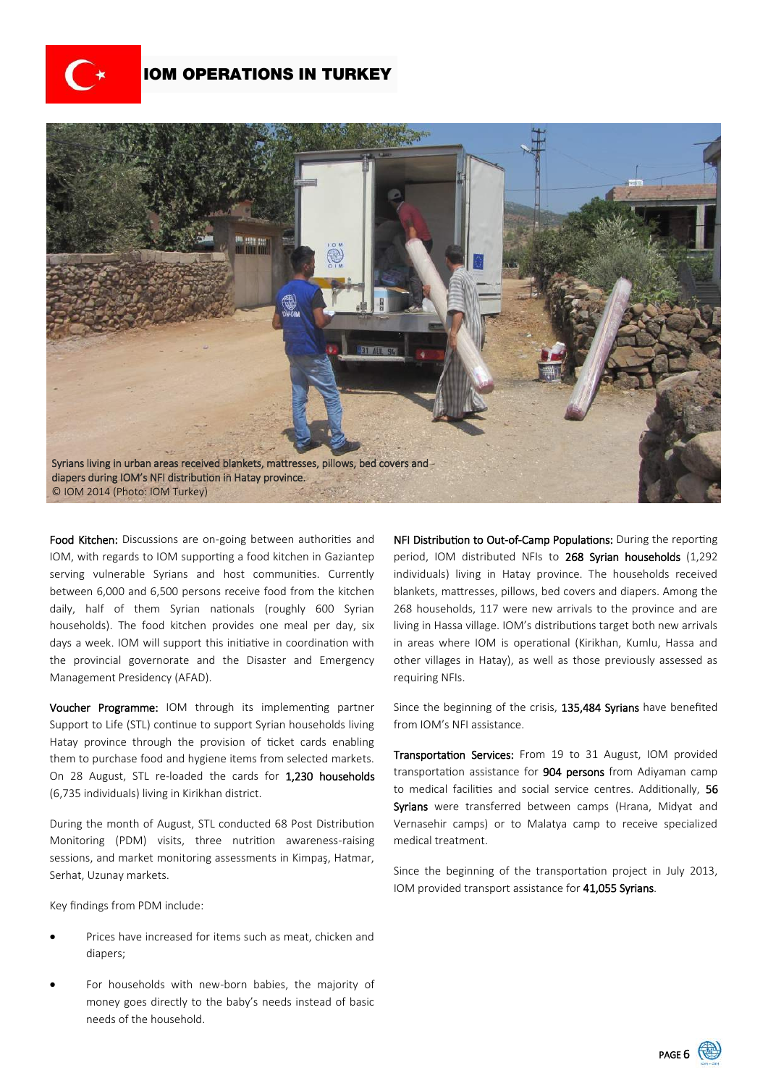

### IOM OPERATIONS IN TURKEY



Food Kitchen: Discussions are on-going between authorities and IOM, with regards to IOM supporting a food kitchen in Gaziantep serving vulnerable Syrians and host communities. Currently between 6,000 and 6,500 persons receive food from the kitchen daily, half of them Syrian nationals (roughly 600 Syrian households). The food kitchen provides one meal per day, six days a week. IOM will support this initiative in coordination with the provincial governorate and the Disaster and Emergency Management Presidency (AFAD).

Voucher Programme: IOM through its implementing partner Support to Life (STL) continue to support Syrian households living Hatay province through the provision of ticket cards enabling them to purchase food and hygiene items from selected markets. On 28 August, STL re-loaded the cards for 1,230 households (6,735 individuals) living in Kirikhan district.

During the month of August, STL conducted 68 Post Distribution Monitoring (PDM) visits, three nutrition awareness-raising sessions, and market monitoring assessments in Kimpas, Hatmar, Serhat, Uzunay markets.

Key findings from PDM include:

- Prices have increased for items such as meat, chicken and diapers;
- For households with new-born babies, the majority of money goes directly to the baby's needs instead of basic needs of the household.

NFI Distribution to Out-of-Camp Populations: During the reporting period, IOM distributed NFIs to 268 Syrian households (1,292 individuals) living in Hatay province. The households received blankets, mattresses, pillows, bed covers and diapers. Among the 268 households, 117 were new arrivals to the province and are living in Hassa village. IOM's distributions target both new arrivals in areas where IOM is operational (Kirikhan, Kumlu, Hassa and other villages in Hatay), as well as those previously assessed as requiring NFIs.

Since the beginning of the crisis, 135,484 Syrians have benefited from IOM's NFI assistance.

Transportation Services: From 19 to 31 August, IOM provided transportation assistance for 904 persons from Adiyaman camp to medical facilities and social service centres. Additionally, 56 Syrians were transferred between camps (Hrana, Midyat and Vernasehir camps) or to Malatya camp to receive specialized medical treatment.

Since the beginning of the transportation project in July 2013, IOM provided transport assistance for 41,055 Syrians.